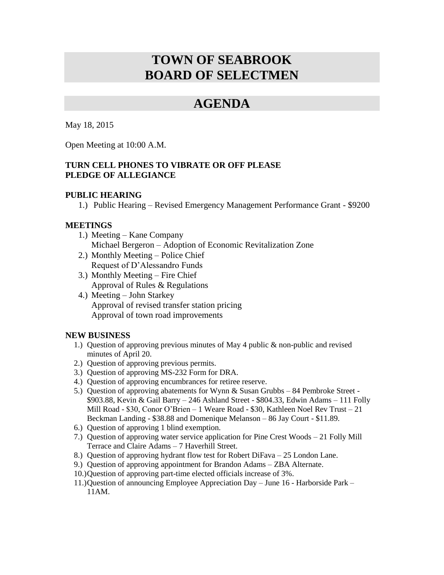# **TOWN OF SEABROOK BOARD OF SELECTMEN**

## **AGENDA**

May 18, 2015

Open Meeting at 10:00 A.M.

## **TURN CELL PHONES TO VIBRATE OR OFF PLEASE PLEDGE OF ALLEGIANCE**

### **PUBLIC HEARING**

1.) Public Hearing – Revised Emergency Management Performance Grant - \$9200

### **MEETINGS**

- 1.) Meeting Kane Company Michael Bergeron – Adoption of Economic Revitalization Zone
- 2.) Monthly Meeting Police Chief Request of D'Alessandro Funds
- 3.) Monthly Meeting Fire Chief Approval of Rules & Regulations
- 4.) Meeting John Starkey Approval of revised transfer station pricing Approval of town road improvements

### **NEW BUSINESS**

- 1.) Question of approving previous minutes of May 4 public & non-public and revised minutes of April 20.
- 2.) Question of approving previous permits.
- 3.) Question of approving MS-232 Form for DRA.
- 4.) Question of approving encumbrances for retiree reserve.
- 5.) Question of approving abatements for Wynn & Susan Grubbs 84 Pembroke Street \$903.88, Kevin & Gail Barry – 246 Ashland Street - \$804.33, Edwin Adams – 111 Folly Mill Road - \$30, Conor O'Brien – 1 Weare Road - \$30, Kathleen Noel Rev Trust – 21 Beckman Landing - \$38.88 and Domenique Melanson – 86 Jay Court - \$11.89.
- 6.) Question of approving 1 blind exemption.
- 7.) Question of approving water service application for Pine Crest Woods 21 Folly Mill Terrace and Claire Adams – 7 Haverhill Street.
- 8.) Question of approving hydrant flow test for Robert DiFava 25 London Lane.
- 9.) Question of approving appointment for Brandon Adams ZBA Alternate.
- 10.)Question of approving part-time elected officials increase of 3%.
- 11.)Question of announcing Employee Appreciation Day June 16 Harborside Park 11AM.